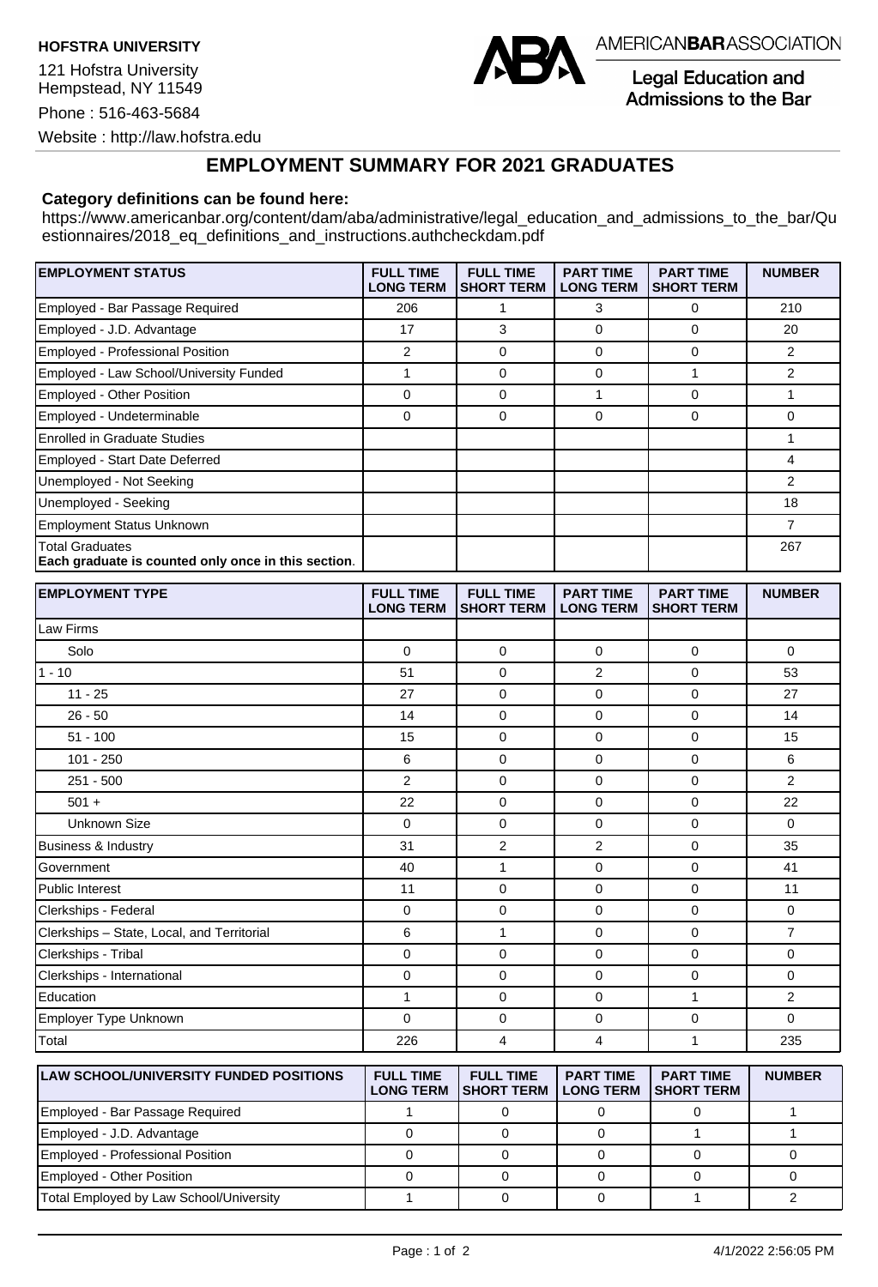**HOFSTRA UNIVERSITY** 

 Hempstead, NY 11549 121 Hofstra University Phone : 516-463-5684 Website :<http://law.hofstra.edu>



AMERICAN**BAR**ASSOCIATION

Legal Education and Admissions to the Bar

## **EMPLOYMENT SUMMARY FOR 2021 GRADUATES**

## **Category definitions can be found here:**

[https://www.americanbar.org/content/dam/aba/administrative/legal\\_education\\_and\\_admissions\\_to\\_the\\_bar/Qu](https://www.americanbar.org/content/dam/aba/administrative/legal_education_and_admissions_to_the_bar/Qu)  estionnaires/2018 eq definitions and instructions.authcheckdam.pdf

| <b>EMPLOYMENT STATUS</b>                                                      | <b>FULL TIME</b><br><b>LONG TERM</b> | <b>FULL TIME</b><br><b>SHORT TERM</b> | <b>PART TIME</b><br><b>LONG TERM</b> | <b>PART TIME</b><br><b>SHORT TERM</b> | <b>NUMBER</b> |
|-------------------------------------------------------------------------------|--------------------------------------|---------------------------------------|--------------------------------------|---------------------------------------|---------------|
| Employed - Bar Passage Required                                               | 206                                  |                                       | 3                                    | 0                                     | 210           |
| Employed - J.D. Advantage                                                     | 17                                   | 3                                     | 0                                    | 0                                     | 20            |
| Employed - Professional Position                                              | 2                                    | $\Omega$                              | $\Omega$                             | 0                                     | 2             |
| Employed - Law School/University Funded                                       |                                      | 0                                     | $\Omega$                             |                                       | 2             |
| <b>Employed - Other Position</b>                                              | $\mathbf 0$                          | 0                                     |                                      | 0                                     |               |
| Employed - Undeterminable                                                     | 0                                    | 0                                     | 0                                    | 0                                     | 0             |
| <b>Enrolled in Graduate Studies</b>                                           |                                      |                                       |                                      |                                       |               |
| Employed - Start Date Deferred                                                |                                      |                                       |                                      |                                       | 4             |
| Unemployed - Not Seeking                                                      |                                      |                                       |                                      |                                       | 2             |
| Unemployed - Seeking                                                          |                                      |                                       |                                      |                                       | 18            |
| <b>Employment Status Unknown</b>                                              |                                      |                                       |                                      |                                       | 7             |
| <b>Total Graduates</b><br>Each graduate is counted only once in this section. |                                      |                                       |                                      |                                       | 267           |

| <b>EMPLOYMENT TYPE</b>                     | <b>FULL TIME</b><br><b>LONG TERM</b> | <b>FULL TIME</b><br><b>SHORT TERM</b> | <b>PART TIME</b><br><b>LONG TERM</b> | <b>PART TIME</b><br><b>SHORT TERM</b> | <b>NUMBER</b>  |
|--------------------------------------------|--------------------------------------|---------------------------------------|--------------------------------------|---------------------------------------|----------------|
| Law Firms                                  |                                      |                                       |                                      |                                       |                |
| Solo                                       | $\mathbf 0$                          | $\overline{0}$                        | $\mathbf 0$                          | $\mathbf 0$                           | $\mathbf 0$    |
| $1 - 10$                                   | 51                                   | $\overline{0}$                        | $\overline{2}$                       | $\mathbf 0$                           | 53             |
| $11 - 25$                                  | 27                                   | $\mathbf 0$                           | $\mathbf 0$                          | $\mathbf 0$                           | 27             |
| $26 - 50$                                  | 14                                   | $\mathbf 0$                           | 0                                    | 0                                     | 14             |
| $51 - 100$                                 | 15                                   | $\mathbf 0$                           | 0                                    | 0                                     | 15             |
| $101 - 250$                                | 6                                    | $\mathbf 0$                           | $\mathbf 0$                          | $\mathbf 0$                           | 6              |
| $251 - 500$                                | $\overline{2}$                       | $\overline{0}$                        | 0                                    | $\mathbf 0$                           | $\overline{2}$ |
| $501 +$                                    | 22                                   | $\overline{0}$                        | $\mathbf 0$                          | $\mathbf 0$                           | 22             |
| <b>Unknown Size</b>                        | $\Omega$                             | $\Omega$                              | $\mathbf 0$                          | $\Omega$                              | $\Omega$       |
| Business & Industry                        | 31                                   | $\overline{2}$                        | $\overline{2}$                       | $\mathbf 0$                           | 35             |
| Government                                 | 40                                   | 1                                     | $\mathbf 0$                          | $\mathbf 0$                           | 41             |
| Public Interest                            | 11                                   | $\mathbf 0$                           | $\mathbf 0$                          | $\mathbf 0$                           | 11             |
| Clerkships - Federal                       | $\mathbf 0$                          | $\mathbf 0$                           | $\mathbf 0$                          | $\mathbf 0$                           | $\mathbf 0$    |
| Clerkships - State, Local, and Territorial | 6                                    | 1                                     | 0                                    | $\mathbf 0$                           | $\overline{7}$ |
| Clerkships - Tribal                        | 0                                    | $\mathbf 0$                           | $\mathbf 0$                          | $\mathbf 0$                           | $\mathbf 0$    |
| Clerkships - International                 | $\mathbf 0$                          | $\mathbf 0$                           | 0                                    | $\mathbf 0$                           | $\mathbf 0$    |
| Education                                  | $\mathbf{1}$                         | $\overline{0}$                        | 0                                    | 1                                     | 2              |
| Employer Type Unknown                      | $\Omega$                             | $\overline{0}$                        | $\mathbf 0$                          | $\mathbf 0$                           | $\mathbf 0$    |
| Total                                      | 226                                  | 4                                     | 4                                    | 1                                     | 235            |

| <b>LAW SCHOOL/UNIVERSITY FUNDED POSITIONS</b> | <b>FULL TIME</b><br><b>LONG TERM</b> | <b>FULL TIME</b><br><b>ISHORT TERM</b> | <b>PART TIME</b><br><b>LONG TERM</b> | <b>PART TIME</b><br><b>ISHORT TERM</b> | <b>NUMBER</b> |
|-----------------------------------------------|--------------------------------------|----------------------------------------|--------------------------------------|----------------------------------------|---------------|
| Employed - Bar Passage Required               |                                      |                                        |                                      |                                        |               |
| Employed - J.D. Advantage                     |                                      |                                        |                                      |                                        |               |
| Employed - Professional Position              |                                      |                                        |                                      |                                        |               |
| Employed - Other Position                     |                                      |                                        |                                      |                                        |               |
| Total Employed by Law School/University       |                                      |                                        |                                      |                                        |               |